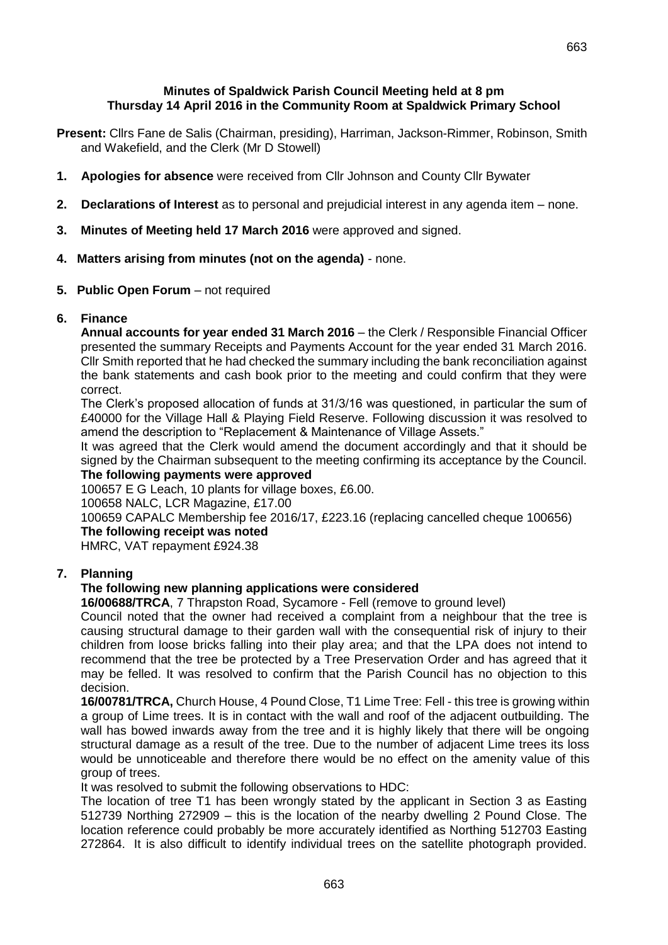663

#### **Minutes of Spaldwick Parish Council Meeting held at 8 pm Thursday 14 April 2016 in the Community Room at Spaldwick Primary School**

- **Present:** Cllrs Fane de Salis (Chairman, presiding), Harriman, Jackson-Rimmer, Robinson, Smith and Wakefield, and the Clerk (Mr D Stowell)
- **1. Apologies for absence** were received from Cllr Johnson and County Cllr Bywater
- **2. Declarations of Interest** as to personal and prejudicial interest in any agenda item none.
- **3. Minutes of Meeting held 17 March 2016** were approved and signed.
- **4. Matters arising from minutes (not on the agenda)** none.
- **5. Public Open Forum** not required

# **6. Finance**

**Annual accounts for year ended 31 March 2016** – the Clerk / Responsible Financial Officer presented the summary Receipts and Payments Account for the year ended 31 March 2016. Cllr Smith reported that he had checked the summary including the bank reconciliation against the bank statements and cash book prior to the meeting and could confirm that they were correct.

The Clerk's proposed allocation of funds at 31/3/16 was questioned, in particular the sum of £40000 for the Village Hall & Playing Field Reserve. Following discussion it was resolved to amend the description to "Replacement & Maintenance of Village Assets."

It was agreed that the Clerk would amend the document accordingly and that it should be signed by the Chairman subsequent to the meeting confirming its acceptance by the Council. **The following payments were approved**

100657 E G Leach, 10 plants for village boxes, £6.00.

100658 NALC, LCR Magazine, £17.00

100659 CAPALC Membership fee 2016/17, £223.16 (replacing cancelled cheque 100656)

# **The following receipt was noted**

HMRC, VAT repayment £924.38

# **7. Planning**

# **The following new planning applications were considered**

**16/00688/TRCA**, 7 Thrapston Road, Sycamore - Fell (remove to ground level)

Council noted that the owner had received a complaint from a neighbour that the tree is causing structural damage to their garden wall with the consequential risk of injury to their children from loose bricks falling into their play area; and that the LPA does not intend to recommend that the tree be protected by a Tree Preservation Order and has agreed that it may be felled. It was resolved to confirm that the Parish Council has no objection to this decision.

**16/00781/TRCA,** Church House, 4 Pound Close, T1 Lime Tree: Fell - this tree is growing within a group of Lime trees. It is in contact with the wall and roof of the adjacent outbuilding. The wall has bowed inwards away from the tree and it is highly likely that there will be ongoing structural damage as a result of the tree. Due to the number of adjacent Lime trees its loss would be unnoticeable and therefore there would be no effect on the amenity value of this group of trees.

It was resolved to submit the following observations to HDC:

The location of tree T1 has been wrongly stated by the applicant in Section 3 as Easting 512739 Northing 272909 – this is the location of the nearby dwelling 2 Pound Close. The location reference could probably be more accurately identified as Northing 512703 Easting 272864. It is also difficult to identify individual trees on the satellite photograph provided.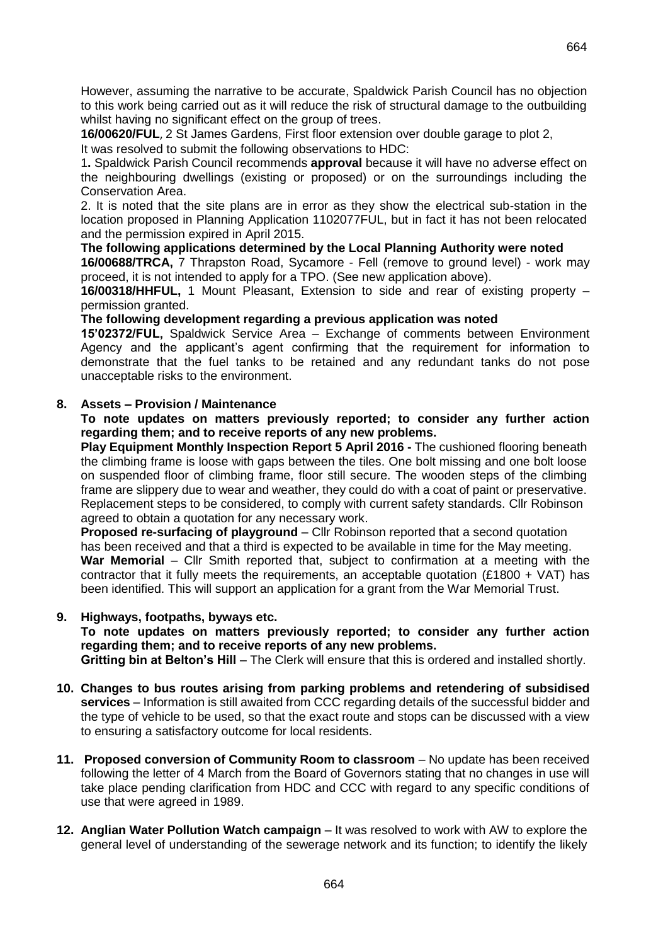However, assuming the narrative to be accurate, Spaldwick Parish Council has no objection to this work being carried out as it will reduce the risk of structural damage to the outbuilding whilst having no significant effect on the group of trees.

**16/00620/FUL**, 2 St James Gardens, First floor extension over double garage to plot 2,

It was resolved to submit the following observations to HDC:

1**.** Spaldwick Parish Council recommends **approval** because it will have no adverse effect on the neighbouring dwellings (existing or proposed) or on the surroundings including the Conservation Area.

2. It is noted that the site plans are in error as they show the electrical sub-station in the location proposed in Planning Application 1102077FUL, but in fact it has not been relocated and the permission expired in April 2015.

**The following applications determined by the Local Planning Authority were noted**

**16/00688/TRCA,** 7 Thrapston Road, Sycamore - Fell (remove to ground level) - work may proceed, it is not intended to apply for a TPO. (See new application above).

**16/00318/HHFUL,** 1 Mount Pleasant, Extension to side and rear of existing property – permission granted.

**The following development regarding a previous application was noted**

**15'02372/FUL,** Spaldwick Service Area – Exchange of comments between Environment Agency and the applicant's agent confirming that the requirement for information to demonstrate that the fuel tanks to be retained and any redundant tanks do not pose unacceptable risks to the environment.

## **8. Assets – Provision / Maintenance**

**To note updates on matters previously reported; to consider any further action regarding them; and to receive reports of any new problems.**

**Play Equipment Monthly Inspection Report 5 April 2016 -** The cushioned flooring beneath the climbing frame is loose with gaps between the tiles. One bolt missing and one bolt loose on suspended floor of climbing frame, floor still secure. The wooden steps of the climbing frame are slippery due to wear and weather, they could do with a coat of paint or preservative. Replacement steps to be considered, to comply with current safety standards. Cllr Robinson agreed to obtain a quotation for any necessary work.

**Proposed re-surfacing of playground** – Cllr Robinson reported that a second quotation has been received and that a third is expected to be available in time for the May meeting. **War Memorial** – Cllr Smith reported that, subject to confirmation at a meeting with the contractor that it fully meets the requirements, an acceptable quotation (£1800 + VAT) has been identified. This will support an application for a grant from the War Memorial Trust.

#### **9. Highways, footpaths, byways etc.**

**To note updates on matters previously reported; to consider any further action regarding them; and to receive reports of any new problems.**

**Gritting bin at Belton's Hill** – The Clerk will ensure that this is ordered and installed shortly.

- **10. Changes to bus routes arising from parking problems and retendering of subsidised services** – Information is still awaited from CCC regarding details of the successful bidder and the type of vehicle to be used, so that the exact route and stops can be discussed with a view to ensuring a satisfactory outcome for local residents.
- **11. Proposed conversion of Community Room to classroom** No update has been received following the letter of 4 March from the Board of Governors stating that no changes in use will take place pending clarification from HDC and CCC with regard to any specific conditions of use that were agreed in 1989.
- **12. Anglian Water Pollution Watch campaign**  It was resolved to work with AW to explore the general level of understanding of the sewerage network and its function; to identify the likely